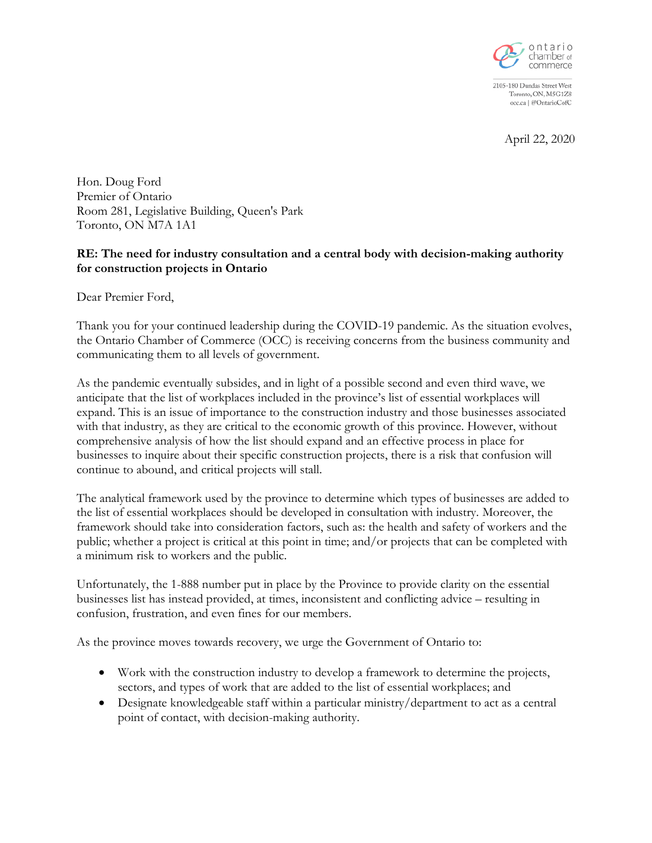

2105-180 Dundas Street West Toronto, ON, M5G1Z8 occ.ca | @OntarioCofC

April 22, 2020

Hon. Doug Ford Premier of Ontario Room 281, Legislative Building, Queen's Park Toronto, ON M7A 1A1

## **RE: The need for industry consultation and a central body with decision-making authority for construction projects in Ontario**

Dear Premier Ford,

Thank you for your continued leadership during the COVID-19 pandemic. As the situation evolves, the Ontario Chamber of Commerce (OCC) is receiving concerns from the business community and communicating them to all levels of government.

As the pandemic eventually subsides, and in light of a possible second and even third wave, we anticipate that the list of workplaces included in the province's list of essential workplaces will expand. This is an issue of importance to the construction industry and those businesses associated with that industry, as they are critical to the economic growth of this province. However, without comprehensive analysis of how the list should expand and an effective process in place for businesses to inquire about their specific construction projects, there is a risk that confusion will continue to abound, and critical projects will stall.

The analytical framework used by the province to determine which types of businesses are added to the list of essential workplaces should be developed in consultation with industry. Moreover, the framework should take into consideration factors, such as: the health and safety of workers and the public; whether a project is critical at this point in time; and/or projects that can be completed with a minimum risk to workers and the public.

Unfortunately, the 1-888 number put in place by the Province to provide clarity on the essential businesses list has instead provided, at times, inconsistent and conflicting advice – resulting in confusion, frustration, and even fines for our members.

As the province moves towards recovery, we urge the Government of Ontario to:

- Work with the construction industry to develop a framework to determine the projects, sectors, and types of work that are added to the list of essential workplaces; and
- Designate knowledgeable staff within a particular ministry/department to act as a central point of contact, with decision-making authority.